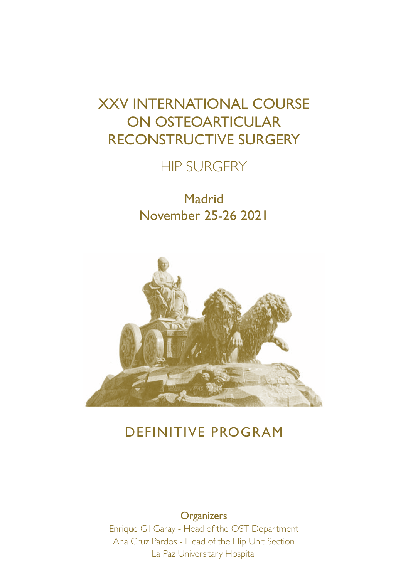# **HIP SURGERY**

# Madrid November 25-26 2021



# DEFINITIVE PROGRAM

## **Organizers**

Enrique Gil Garay - Head of the OST Department Ana Cruz Pardos - Head of the Hip Unit Section La Paz Universitary Hospital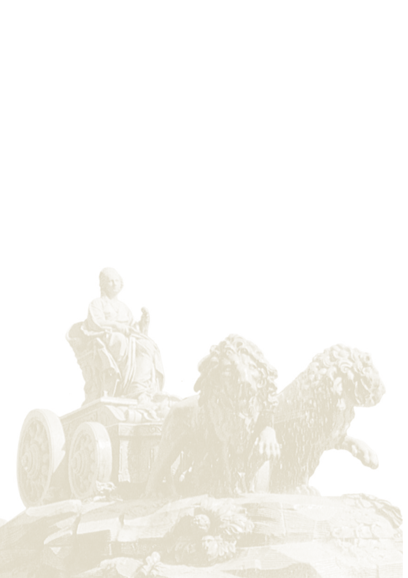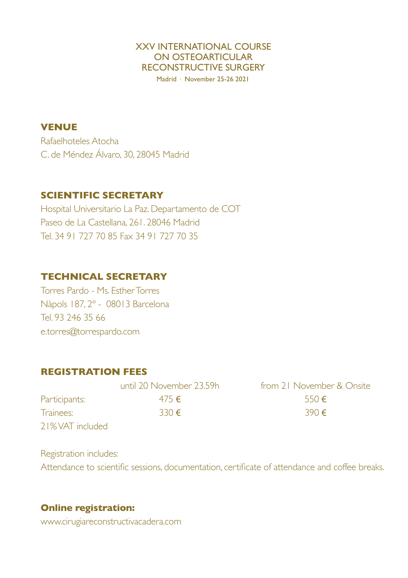Madrid · November 25-26 2021

#### **VENUE**

Rafaelhoteles Atocha C. de Méndez Álvaro, 30, 28045 Madrid

## **SCIENTIFIC SECRETARY**

Hospital Universitario La Paz. Departamento de COT Paseo de La Castellana, 261. 28046 Madrid Tel. 34 91 727 70 85 Fax 34 91 727 70 35

#### **TECHNICAL SECRETARY**

Torres Pardo - Ms. Esther Torres Nàpols 187, 2º - 08013 Barcelona Tel. 93 246 35 66 e.torres@torrespardo.com

#### **REGISTRATION FEES**

|                  | until 20 November 23.59h | from 21 November & Onsite |
|------------------|--------------------------|---------------------------|
| Participants:    | $475 \in$                | $550 \in$                 |
| Trainees:        | 330 $\epsilon$           | 390 €                     |
| 21% VAT included |                          |                           |

Registration includes: Attendance to scientific sessions, documentation, certificate of attendance and coffee breaks.

#### **Online registration:**

www.cirugiareconstructivacadera.com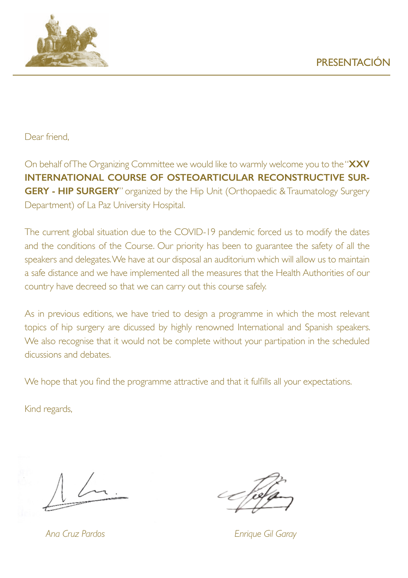

Dear friend,

On behalf of The Organizing Committee we would like to warmly welcome you to the "**XXV INTERNATIONAL COURSE OF OSTEOARTICULAR RECONSTRUCTIVE SUR-GERY - HIP SURGERY**" organized by the Hip Unit (Orthopaedic & Traumatology Surgery Department) of La Paz University Hospital.

The current global situation due to the COVID-19 pandemic forced us to modify the dates and the conditions of the Course. Our priority has been to guarantee the safety of all the speakers and delegates. We have at our disposal an auditorium which will allow us to maintain a safe distance and we have implemented all the measures that the Health Authorities of our country have decreed so that we can carry out this course safely.

As in previous editions, we have tried to design a programme in which the most relevant topics of hip surgery are dicussed by highly renowned International and Spanish speakers. We also recognise that it would not be complete without your partipation in the scheduled dicussions and debates.

We hope that you find the programme attractive and that it fulfills all your expectations.

Kind regards,

*Ana Cruz Pardos Enrique Gil Garay*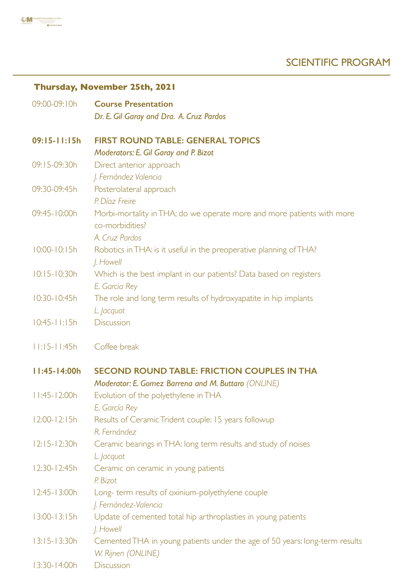

# SCIENTIFIC PROGRAM

| <b>Thursday, November 25th, 2021</b> |                                                                                           |  |
|--------------------------------------|-------------------------------------------------------------------------------------------|--|
| 09:00-09:10h                         | <b>Course Presentation</b><br>Dr. E. Gil Garay and Dra. A. Cruz Pardos                    |  |
| $09:15 - 11:15h$                     | <b>FIRST ROUND TABLE: GENERAL TOPICS</b>                                                  |  |
|                                      | Moderators: E. Gil Garay and P. Bizot                                                     |  |
| 09:15-09:30h                         | Direct anterior approach                                                                  |  |
|                                      | J. Fernández Valencia                                                                     |  |
| 09:30-09:45h                         | Posterolateral approach                                                                   |  |
|                                      | P. Díaz Freire                                                                            |  |
| 09:45-10:00h                         | Morbi-mortality in THA; do we operate more and more patients with more<br>co-morbidities? |  |
|                                      | A. Cruz Pardos                                                                            |  |
| $10:00 - 10:15h$                     | Robotics in THA: is it useful in the preoperative planning of THA?                        |  |
|                                      | J. Howell                                                                                 |  |
| $10:15 - 10:30h$                     | Which is the best implant in our patients? Data based on registers                        |  |
|                                      | E. Garcia Rey                                                                             |  |
| 10:30-10:45h                         | The role and long term results of hydroxyapatite in hip implants                          |  |
| $10:45 - 11:15h$                     | L. <i>Jacquot</i><br><b>Discussion</b>                                                    |  |
|                                      |                                                                                           |  |
| $11:15 - 11:45h$                     | Coffee break                                                                              |  |
|                                      |                                                                                           |  |
| $11:45-14:00h$                       | <b>SECOND ROUND TABLE: FRICTION COUPLES IN THA</b>                                        |  |
|                                      | Moderator: E. Gomez Barrena and M. Buttaro (ONLINE)                                       |  |
| $11:45 - 12:00h$                     | Evolution of the polyethylene in THA                                                      |  |
|                                      | E. García Rey                                                                             |  |
| $12:00 - 12:15h$                     | Results of Ceramic Trident couple: 15 years followup                                      |  |
|                                      | R. Fernández                                                                              |  |
| $12:15 - 12:30h$                     | Ceramic bearings in THA: long term results and study of noises                            |  |
|                                      | L. <i>Jacquot</i>                                                                         |  |
| 12:30-12:45h                         | Ceramic on ceramic in young patients                                                      |  |
|                                      | P. Bizot                                                                                  |  |
| $12:45 - 13:00h$                     | Long-term results of oxinium-polyethylene couple                                          |  |
|                                      | J. Fernández-Valencia                                                                     |  |
| $13:00 - 13:15h$                     | Update of cemented total hip arthroplasties in young patients                             |  |
|                                      | J. Howell                                                                                 |  |
| $13:15 - 13:30h$                     | Cemented THA in young patients under the age of 50 years: long-term results               |  |
|                                      | W. Rijnen (ONLINE)                                                                        |  |
| 13:30-14:00h                         | <b>Discussion</b>                                                                         |  |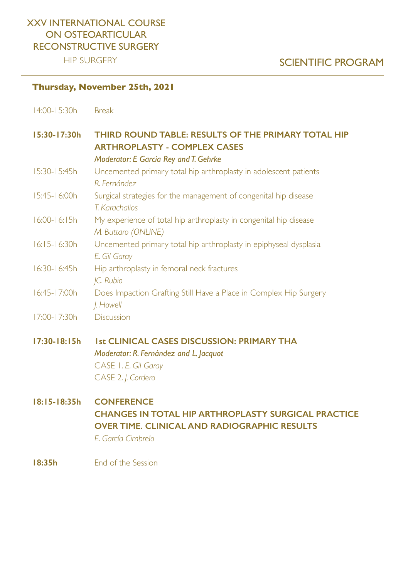**Thursday, November 25th, 2021**

# HIP SURGERY **SCIENTIFIC PROGRAM**

| $14:00 - 15:30h$ | <b>Break</b>                                                                                                                                                 |
|------------------|--------------------------------------------------------------------------------------------------------------------------------------------------------------|
| 15:30-17:30h     | THIRD ROUND TABLE: RESULTS OF THE PRIMARY TOTAL HIP<br><b>ARTHROPLASTY - COMPLEX CASES</b><br>Moderator: E García Rey and T. Gehrke                          |
| 15:30-15:45h     | Uncemented primary total hip arthroplasty in adolescent patients<br>R. Fernández                                                                             |
| $15:45 - 16:00h$ | Surgical strategies for the management of congenital hip disease<br>T. Karachalios                                                                           |
| $16:00 - 16:15h$ | My experience of total hip arthroplasty in congenital hip disease<br>M. Buttaro (ONLINE)                                                                     |
| 16:15-16:30h     | Uncemented primary total hip arthroplasty in epiphyseal dysplasia<br>E. Gil Garay                                                                            |
| 16:30-16:45h     | Hip arthroplasty in femoral neck fractures<br>JC. Rubio                                                                                                      |
| 16:45-17:00h     | Does Impaction Grafting Still Have a Place in Complex Hip Surgery<br>I. Howell                                                                               |
| 17:00-17:30h     | <b>Discussion</b>                                                                                                                                            |
| $17:30-18:15h$   | <b>Ist CLINICAL CASES DISCUSSION: PRIMARY THA</b><br>Moderator: R. Fernández and L. Jacquot<br>CASE I.E. Gil Garay<br>CASE 2. J. Cordero                     |
| $18:15 - 18:35h$ | <b>CONFERENCE</b><br><b>CHANGES IN TOTAL HIP ARTHROPLASTY SURGICAL PRACTICE</b><br><b>OVER TIME, CLINICAL AND RADIOGRAPHIC RESULTS</b><br>E. García Cimbrelo |
| 18:35h           | End of the Session                                                                                                                                           |
|                  |                                                                                                                                                              |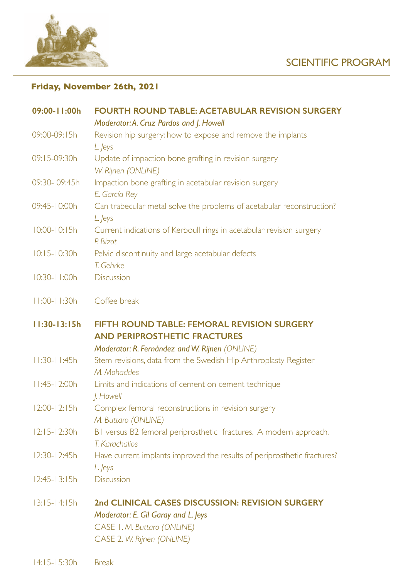

# SCIENTIFIC PROGRAM

## **Friday, November 26th, 2021**

| 09:00-11:00h     | <b>FOURTH ROUND TABLE: ACETABULAR REVISION SURGERY</b><br>Moderator: A. Cruz Pardos and J. Howell                                                  |
|------------------|----------------------------------------------------------------------------------------------------------------------------------------------------|
| 09:00-09:15h     | Revision hip surgery: how to expose and remove the implants<br>L. Jeys                                                                             |
| 09:15-09:30h     | Update of impaction bone grafting in revision surgery<br>W. Rijnen (ONLINE)                                                                        |
| 09:30-09:45h     | Impaction bone grafting in acetabular revision surgery<br>E. García Rey                                                                            |
| 09:45-10:00h     | Can trabecular metal solve the problems of acetabular reconstruction?<br>L. Jeys                                                                   |
| 10:00-10:15h     | Current indications of Kerboull rings in acetabular revision surgery<br>P. Bizot                                                                   |
| $10:15 - 10:30h$ | Pelvic discontinuity and large acetabular defects<br>T. Gehrke                                                                                     |
| $10:30 - 11:00h$ | <b>Discussion</b>                                                                                                                                  |
| $11:00 - 11:30h$ | Coffee break                                                                                                                                       |
| $11:30-13:15h$   | <b>FIFTH ROUND TABLE: FEMORAL REVISION SURGERY</b><br><b>AND PERIPROSTHETIC FRACTURES</b>                                                          |
|                  | Moderator: R. Fernández and W. Rijnen (ONLINE)                                                                                                     |
| 11:30-11:45h     | Stem revisions, data from the Swedish Hip Arthroplasty Register<br>M. Mohaddes                                                                     |
| II:45-12:00h     | Limits and indications of cement on cement technique<br>J. Howell                                                                                  |
| 12:00-12:15h     | Complex femoral reconstructions in revision surgery<br>M. Buttaro (ONLINE)                                                                         |
| 12:15-12:30h     | BI versus B2 femoral periprosthetic fractures. A modern approach.<br>T. Karachalios                                                                |
| 12:30-12:45h     | Have current implants improved the results of periprosthetic fractures?<br>L. Jeys                                                                 |
| $12:45 - 13:15h$ | <b>Discussion</b>                                                                                                                                  |
| $13:15-14:15h$   | 2nd CLINICAL CASES DISCUSSION: REVISION SURGERY<br>Moderator: E. Gil Garay and L. Jeys<br>CASE I.M. Buttaro (ONLINE)<br>CASE 2. W. Rijnen (ONLINE) |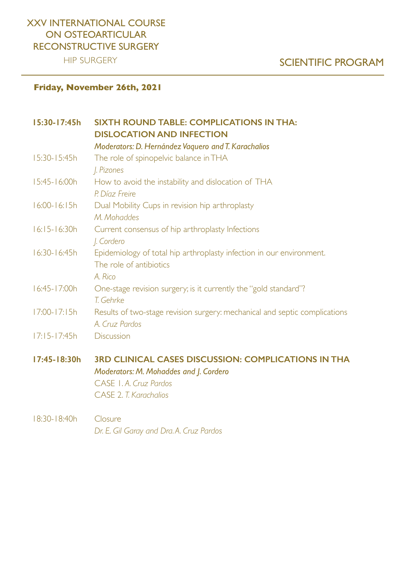# HIP SURGERY **SCIENTIFIC PROGRAM**

#### **Friday, November 26th, 2021**

| 15:30-17:45h     | <b>SIXTH ROUND TABLE: COMPLICATIONS IN THA:</b>                                                                                                          |  |
|------------------|----------------------------------------------------------------------------------------------------------------------------------------------------------|--|
|                  | <b>DISLOCATION AND INFECTION</b>                                                                                                                         |  |
|                  | Moderators: D. Hernández Vaquero and T. Karachalios                                                                                                      |  |
| $15:30 - 15:45h$ | The role of spinopelvic balance in THA<br>J. Pizones                                                                                                     |  |
| $15:45 - 16:00h$ | How to avoid the instability and dislocation of THA<br>P. Díaz Freire                                                                                    |  |
| $16:00 - 16:15h$ | Dual Mobility Cups in revision hip arthroplasty<br>M. Mohaddes                                                                                           |  |
| $16:15 - 16:30h$ | Current consensus of hip arthroplasty Infections<br>J. Cordero                                                                                           |  |
| $16:30 - 16:45h$ | Epidemiology of total hip arthroplasty infection in our environment.<br>The role of antibiotics<br>A. Rico                                               |  |
| 16:45-17:00h     | One-stage revision surgery; is it currently the "gold standard"?<br>T. Gehrke                                                                            |  |
| 17:00-17:15h     | Results of two-stage revision surgery: mechanical and septic complications<br>A. Cruz Pardos                                                             |  |
| $17:15 - 17:45h$ | <b>Discussion</b>                                                                                                                                        |  |
| $17:45 - 18:30h$ | <b>3RD CLINICAL CASES DISCUSSION: COMPLICATIONS IN THA</b><br>Moderators: M. Mohaddes and J. Cordero<br>CASE 1. A. Cruz Pardos<br>CASE 2. T. Karachalios |  |

- 
- 18:30-18:40h Closure *Dr. E. Gil Garay and Dra. A. Cruz Pardos*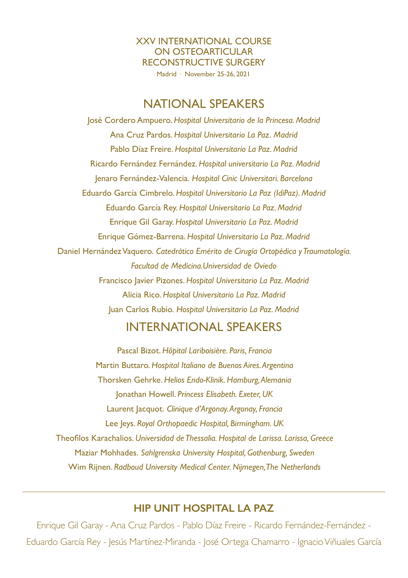Madrid · November 25-26, 2021

## NATIONAL SPEAKERS

José Cordero Ampuero. *Hospital Universitario de la Princesa. Madrid* Ana Cruz Pardos. *Hospital Universitario La Paz*. *Madrid* Pablo Díaz Freire. *Hospital Universitario La Paz. Madrid* Ricardo Fernández Fernández. *Hospital universitario La Paz. Madrid*  Jenaro Fernández-Valencia. *Hospital Cínic Universitari. Barcelona* Eduardo García Cimbrelo. *Hospital Universitario La Paz (IdiPaz). Madrid* Eduardo García Rey. *Hospital Universitario La Paz. Madrid* Enrique Gil Garay. *Hospital Universitario La Paz. Madrid* Enrique Gómez-Barrena. *Hospital Universitario La Paz. Madrid*  Daniel Hernández Vaquero. *Catedrático Emérito de Cirugía Ortopédica y Traumatología. Facultad de Medicina.Universidad de Oviedo* Francisco Javier Pizones. *Hospital Universitario La Paz. Madrid*  Alicia Rico. *Hospital Universitario La Paz. Madrid*  Juan Carlos Rubio. *Hospital Universitario La Paz. Madrid*

# INTERNATIONAL SPEAKERS

Pascal Bizot. *Hôpital Lariboisière. Paris, Francia* Martin Buttaro. *Hospital Italiano de Buenos Aires. Argentina* Thorsken Gehrke. *Helios Endo-Klinik. Hamburg, Alemania* Jonathan Howell. *Princess Elisabeth. Exeter, UK*  Laurent Jacquot. *Clinique d'Argonay. Argonay, Francia* Lee Jeys. *Royal Orthopaedic Hospital, Birmingham. UK* Theofilos Karachalios. *Universidad de Thessalia. Hospital de Larissa. Larissa, Greece* Maziar Mohhades. *Sahlgrenska University Hospital, Gothenburg, Sweden* Wim Rijnen. *Radboud University Medical Center. Nijmegen, The Netherlands*

### **HIP UNIT HOSPITAL LA PAZ**

Enrique Gil Garay - Ana Cruz Pardos - Pablo Díaz Freire - Ricardo Fernández-Fernández - Eduardo García Rey - Jesús Martínez-Miranda - José Ortega Chamarro - Ignacio Viñuales García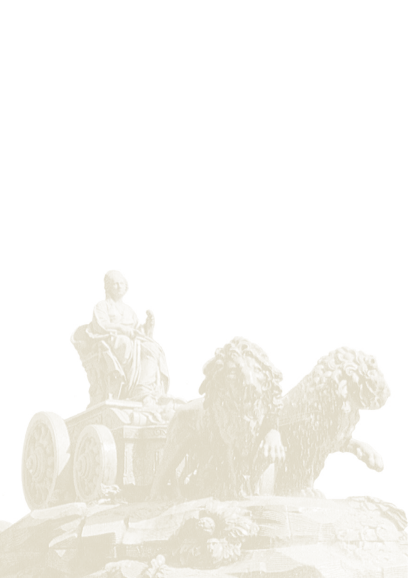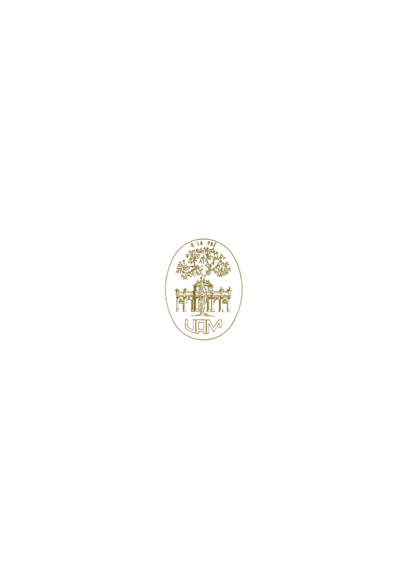